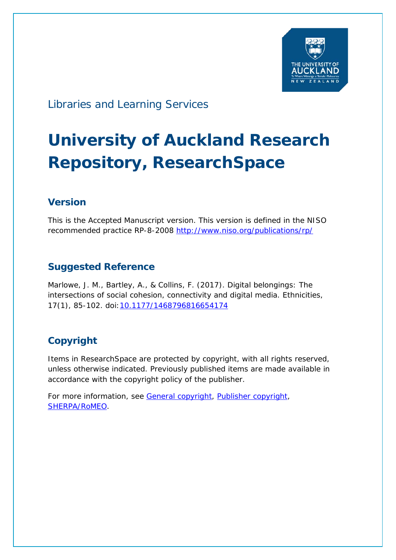

# Libraries and Learning Services

# **University of Auckland Research Repository, ResearchSpace**

# **Version**

This is the Accepted Manuscript version. This version is defined in the NISO recommended practice RP-8-2008<http://www.niso.org/publications/rp/>

# **Suggested Reference**

Marlowe, J. M., Bartley, A., & Collins, F. (2017). Digital belongings: The intersections of social cohesion, connectivity and digital media. *Ethnicities*, *17*(1), 85-102. doi[:10.1177/1468796816654174](http://dx.doi.org/10.1177/1468796816654174)

# **Copyright**

Items in ResearchSpace are protected by copyright, with all rights reserved, unless otherwise indicated. Previously published items are made available in accordance with the copyright policy of the publisher.

For more information, see [General copyright,](http://www.library.auckland.ac.nz/services/research-support/depositing-theses/copyright) [Publisher copyright,](https://uk.sagepub.com/en-gb/eur/the-green-route-%E2%80%93-open-access-archiving-policy) [SHERPA/RoMEO.](http://www.sherpa.ac.uk/romeo/issn/1468-7968/)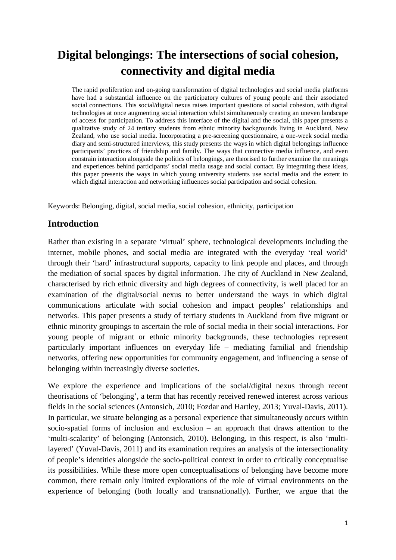# **Digital belongings: The intersections of social cohesion, connectivity and digital media**

The rapid proliferation and on-going transformation of digital technologies and social media platforms have had a substantial influence on the participatory cultures of young people and their associated social connections. This social/digital nexus raises important questions of social cohesion, with digital technologies at once augmenting social interaction whilst simultaneously creating an uneven landscape of access for participation. To address this interface of the digital and the social, this paper presents a qualitative study of 24 tertiary students from ethnic minority backgrounds living in Auckland, New Zealand, who use social media. Incorporating a pre-screening questionnaire, a one-week social media diary and semi-structured interviews, this study presents the ways in which digital belongings influence participants' practices of friendship and family. The ways that connective media influence, and even constrain interaction alongside the politics of belongings, are theorised to further examine the meanings and experiences behind participants' social media usage and social contact. By integrating these ideas, this paper presents the ways in which young university students use social media and the extent to which digital interaction and networking influences social participation and social cohesion.

Keywords: Belonging, digital, social media, social cohesion, ethnicity, participation

#### **Introduction**

Rather than existing in a separate 'virtual' sphere, technological developments including the internet, mobile phones, and social media are integrated with the everyday 'real world' through their 'hard' infrastructural supports, capacity to link people and places, and through the mediation of social spaces by digital information. The city of Auckland in New Zealand, characterised by rich ethnic diversity and high degrees of connectivity, is well placed for an examination of the digital/social nexus to better understand the ways in which digital communications articulate with social cohesion and impact peoples' relationships and networks. This paper presents a study of tertiary students in Auckland from five migrant or ethnic minority groupings to ascertain the role of social media in their social interactions. For young people of migrant or ethnic minority backgrounds, these technologies represent particularly important influences on everyday life – mediating familial and friendship networks, offering new opportunities for community engagement, and influencing a sense of belonging within increasingly diverse societies.

We explore the experience and implications of the social/digital nexus through recent theorisations of 'belonging', a term that has recently received renewed interest across various fields in the social sciences (Antonsich, 2010; Fozdar and Hartley, 2013; Yuval-Davis, 2011). In particular, we situate belonging as a personal experience that simultaneously occurs within socio-spatial forms of inclusion and exclusion – an approach that draws attention to the 'multi-scalarity' of belonging (Antonsich, 2010). Belonging, in this respect, is also 'multilayered' (Yuval-Davis, 2011) and its examination requires an analysis of the intersectionality of people's identities alongside the socio-political context in order to critically conceptualise its possibilities. While these more open conceptualisations of belonging have become more common, there remain only limited explorations of the role of virtual environments on the experience of belonging (both locally and transnationally). Further, we argue that the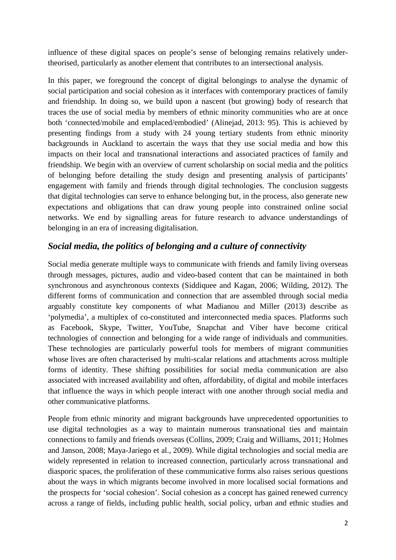influence of these digital spaces on people's sense of belonging remains relatively undertheorised, particularly as another element that contributes to an intersectional analysis.

In this paper, we foreground the concept of digital belongings to analyse the dynamic of social participation and social cohesion as it interfaces with contemporary practices of family and friendship. In doing so, we build upon a nascent (but growing) body of research that traces the use of social media by members of ethnic minority communities who are at once both 'connected/mobile and emplaced/embodied' (Alinejad, 2013: 95). This is achieved by presenting findings from a study with 24 young tertiary students from ethnic minority backgrounds in Auckland to ascertain the ways that they use social media and how this impacts on their local and transnational interactions and associated practices of family and friendship. We begin with an overview of current scholarship on social media and the politics of belonging before detailing the study design and presenting analysis of participants' engagement with family and friends through digital technologies. The conclusion suggests that digital technologies can serve to enhance belonging but, in the process, also generate new expectations and obligations that can draw young people into constrained online social networks. We end by signalling areas for future research to advance understandings of belonging in an era of increasing digitalisation.

#### *Social media, the politics of belonging and a culture of connectivity*

Social media generate multiple ways to communicate with friends and family living overseas through messages, pictures, audio and video-based content that can be maintained in both synchronous and asynchronous contexts (Siddiquee and Kagan, 2006; Wilding, 2012). The different forms of communication and connection that are assembled through social media arguably constitute key components of what Madianou and Miller (2013) describe as 'polymedia', a multiplex of co-constituted and interconnected media spaces. Platforms such as Facebook, Skype, Twitter, YouTube, Snapchat and Viber have become critical technologies of connection and belonging for a wide range of individuals and communities. These technologies are particularly powerful tools for members of migrant communities whose lives are often characterised by multi-scalar relations and attachments across multiple forms of identity. These shifting possibilities for social media communication are also associated with increased availability and often, affordability, of digital and mobile interfaces that influence the ways in which people interact with one another through social media and other communicative platforms.

People from ethnic minority and migrant backgrounds have unprecedented opportunities to use digital technologies as a way to maintain numerous transnational ties and maintain connections to family and friends overseas (Collins, 2009; Craig and Williams, 2011; Holmes and Janson, 2008; Maya-Jariego et al., 2009). While digital technologies and social media are widely represented in relation to increased connection, particularly across transnational and diasporic spaces, the proliferation of these communicative forms also raises serious questions about the ways in which migrants become involved in more localised social formations and the prospects for 'social cohesion'. Social cohesion as a concept has gained renewed currency across a range of fields, including public health, social policy, urban and ethnic studies and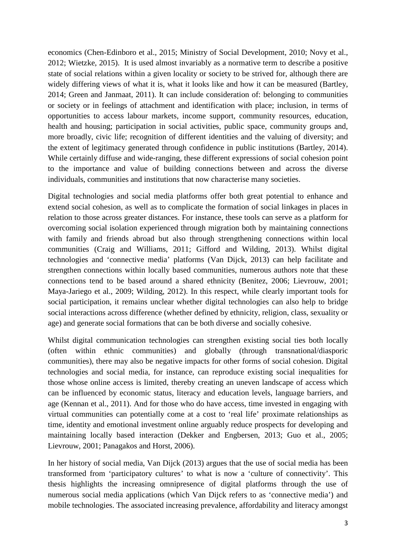economics (Chen-Edinboro et al., 2015; Ministry of Social Development, 2010; Novy et al., 2012; Wietzke, 2015). It is used almost invariably as a normative term to describe a positive state of social relations within a given locality or society to be strived for, although there are widely differing views of what it is, what it looks like and how it can be measured (Bartley, 2014; Green and Janmaat, 2011). It can include consideration of: belonging to communities or society or in feelings of attachment and identification with place; inclusion, in terms of opportunities to access labour markets, income support, community resources, education, health and housing; participation in social activities, public space, community groups and, more broadly, civic life; recognition of different identities and the valuing of diversity; and the extent of legitimacy generated through confidence in public institutions (Bartley, 2014). While certainly diffuse and wide-ranging, these different expressions of social cohesion point to the importance and value of building connections between and across the diverse individuals, communities and institutions that now characterise many societies.

Digital technologies and social media platforms offer both great potential to enhance and extend social cohesion, as well as to complicate the formation of social linkages in places in relation to those across greater distances. For instance, these tools can serve as a platform for overcoming social isolation experienced through migration both by maintaining connections with family and friends abroad but also through strengthening connections within local communities (Craig and Williams, 2011; Gifford and Wilding, 2013). Whilst digital technologies and 'connective media' platforms (Van Dijck, 2013) can help facilitate and strengthen connections within locally based communities, numerous authors note that these connections tend to be based around a shared ethnicity (Benitez, 2006; Lievrouw, 2001; Maya-Jariego et al., 2009; Wilding, 2012). In this respect, while clearly important tools for social participation, it remains unclear whether digital technologies can also help to bridge social interactions across difference (whether defined by ethnicity, religion, class, sexuality or age) and generate social formations that can be both diverse and socially cohesive.

Whilst digital communication technologies can strengthen existing social ties both locally (often within ethnic communities) and globally (through transnational/diasporic communities), there may also be negative impacts for other forms of social cohesion. Digital technologies and social media, for instance, can reproduce existing social inequalities for those whose online access is limited, thereby creating an uneven landscape of access which can be influenced by economic status, literacy and education levels, language barriers, and age (Kennan et al., 2011). And for those who do have access, time invested in engaging with virtual communities can potentially come at a cost to 'real life' proximate relationships as time, identity and emotional investment online arguably reduce prospects for developing and maintaining locally based interaction (Dekker and Engbersen, 2013; Guo et al., 2005; Lievrouw, 2001; Panagakos and Horst, 2006).

In her history of social media, Van Dijck (2013) argues that the use of social media has been transformed from 'participatory cultures' to what is now a 'culture of connectivity'. This thesis highlights the increasing omnipresence of digital platforms through the use of numerous social media applications (which Van Dijck refers to as 'connective media') and mobile technologies. The associated increasing prevalence, affordability and literacy amongst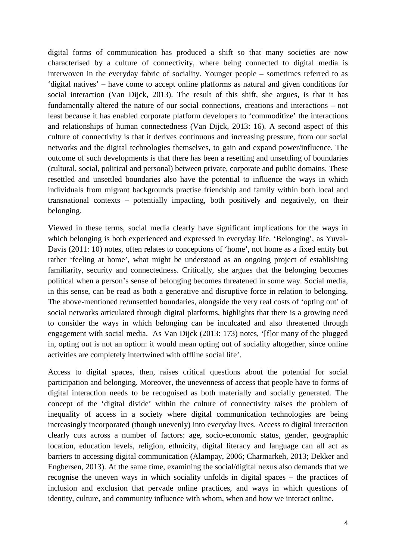digital forms of communication has produced a shift so that many societies are now characterised by a culture of connectivity, where being connected to digital media is interwoven in the everyday fabric of sociality. Younger people – sometimes referred to as 'digital natives' – have come to accept online platforms as natural and given conditions for social interaction (Van Dijck, 2013). The result of this shift, she argues, is that it has fundamentally altered the nature of our social connections, creations and interactions – not least because it has enabled corporate platform developers to 'commoditize' the interactions and relationships of human connectedness (Van Dijck, 2013: 16). A second aspect of this culture of connectivity is that it derives continuous and increasing pressure, from our social networks and the digital technologies themselves, to gain and expand power/influence. The outcome of such developments is that there has been a resetting and unsettling of boundaries (cultural, social, political and personal) between private, corporate and public domains. These resettled and unsettled boundaries also have the potential to influence the ways in which individuals from migrant backgrounds practise friendship and family within both local and transnational contexts – potentially impacting, both positively and negatively, on their belonging.

Viewed in these terms, social media clearly have significant implications for the ways in which belonging is both experienced and expressed in everyday life. 'Belonging', as Yuval-Davis (2011: 10) notes, often relates to conceptions of 'home', not home as a fixed entity but rather 'feeling at home', what might be understood as an ongoing project of establishing familiarity, security and connectedness. Critically, she argues that the belonging becomes political when a person's sense of belonging becomes threatened in some way. Social media, in this sense, can be read as both a generative and disruptive force in relation to belonging. The above-mentioned re/unsettled boundaries, alongside the very real costs of 'opting out' of social networks articulated through digital platforms, highlights that there is a growing need to consider the ways in which belonging can be inculcated and also threatened through engagement with social media. As Van Dijck (2013: 173) notes, '[f]or many of the plugged in, opting out is not an option: it would mean opting out of sociality altogether, since online activities are completely intertwined with offline social life'.

Access to digital spaces, then, raises critical questions about the potential for social participation and belonging. Moreover, the unevenness of access that people have to forms of digital interaction needs to be recognised as both materially and socially generated. The concept of the 'digital divide' within the culture of connectivity raises the problem of inequality of access in a society where digital communication technologies are being increasingly incorporated (though unevenly) into everyday lives. Access to digital interaction clearly cuts across a number of factors: age, socio-economic status, gender, geographic location, education levels, religion, ethnicity, digital literacy and language can all act as barriers to accessing digital communication (Alampay, 2006; Charmarkeh, 2013; Dekker and Engbersen, 2013). At the same time, examining the social/digital nexus also demands that we recognise the uneven ways in which sociality unfolds in digital spaces – the practices of inclusion and exclusion that pervade online practices, and ways in which questions of identity, culture, and community influence with whom, when and how we interact online.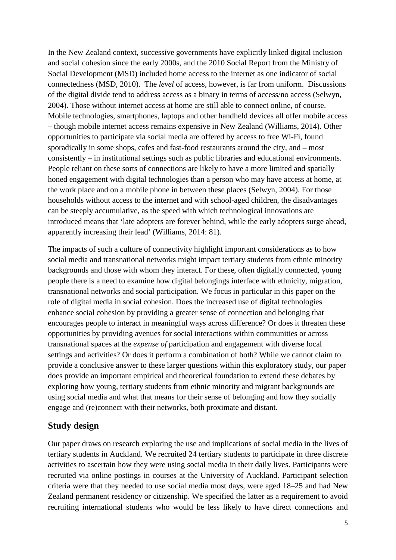In the New Zealand context, successive governments have explicitly linked digital inclusion and social cohesion since the early 2000s, and the 2010 Social Report from the Ministry of Social Development (MSD) included home access to the internet as one indicator of social connectedness (MSD, 2010). The *level* of access, however, is far from uniform. Discussions of the digital divide tend to address access as a binary in terms of access/no access (Selwyn, 2004). Those without internet access at home are still able to connect online, of course. Mobile technologies, smartphones, laptops and other handheld devices all offer mobile access – though mobile internet access remains expensive in New Zealand (Williams, 2014). Other opportunities to participate via social media are offered by access to free Wi-Fi, found sporadically in some shops, cafes and fast-food restaurants around the city, and – most consistently – in institutional settings such as public libraries and educational environments. People reliant on these sorts of connections are likely to have a more limited and spatially honed engagement with digital technologies than a person who may have access at home, at the work place and on a mobile phone in between these places (Selwyn, 2004). For those households without access to the internet and with school-aged children, the disadvantages can be steeply accumulative, as the speed with which technological innovations are introduced means that 'late adopters are forever behind, while the early adopters surge ahead, apparently increasing their lead' (Williams, 2014: 81).

The impacts of such a culture of connectivity highlight important considerations as to how social media and transnational networks might impact tertiary students from ethnic minority backgrounds and those with whom they interact. For these, often digitally connected, young people there is a need to examine how digital belongings interface with ethnicity, migration, transnational networks and social participation. We focus in particular in this paper on the role of digital media in social cohesion. Does the increased use of digital technologies enhance social cohesion by providing a greater sense of connection and belonging that encourages people to interact in meaningful ways across difference? Or does it threaten these opportunities by providing avenues for social interactions within communities or across transnational spaces at the *expense of* participation and engagement with diverse local settings and activities? Or does it perform a combination of both? While we cannot claim to provide a conclusive answer to these larger questions within this exploratory study, our paper does provide an important empirical and theoretical foundation to extend these debates by exploring how young, tertiary students from ethnic minority and migrant backgrounds are using social media and what that means for their sense of belonging and how they socially engage and (re)connect with their networks, both proximate and distant.

#### **Study design**

Our paper draws on research exploring the use and implications of social media in the lives of tertiary students in Auckland. We recruited 24 tertiary students to participate in three discrete activities to ascertain how they were using social media in their daily lives. Participants were recruited via online postings in courses at the University of Auckland. Participant selection criteria were that they needed to use social media most days, were aged 18–25 and had New Zealand permanent residency or citizenship. We specified the latter as a requirement to avoid recruiting international students who would be less likely to have direct connections and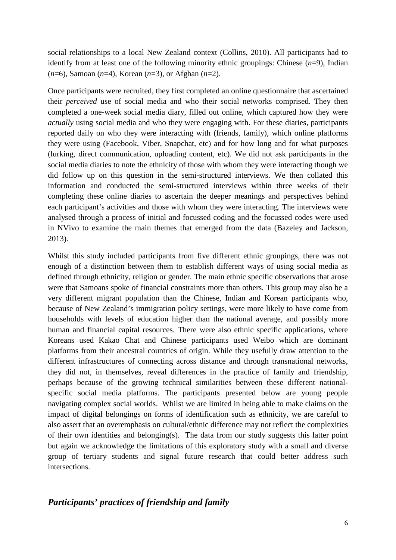social relationships to a local New Zealand context (Collins, 2010). All participants had to identify from at least one of the following minority ethnic groupings: Chinese (*n*=9), Indian (*n*=6), Samoan (*n*=4), Korean (*n*=3), or Afghan (*n*=2).

Once participants were recruited, they first completed an online questionnaire that ascertained their *perceived* use of social media and who their social networks comprised. They then completed a one-week social media diary, filled out online, which captured how they were *actually* using social media and who they were engaging with. For these diaries, participants reported daily on who they were interacting with (friends, family), which online platforms they were using (Facebook, Viber, Snapchat, etc) and for how long and for what purposes (lurking, direct communication, uploading content, etc). We did not ask participants in the social media diaries to note the ethnicity of those with whom they were interacting though we did follow up on this question in the semi-structured interviews. We then collated this information and conducted the semi-structured interviews within three weeks of their completing these online diaries to ascertain the deeper meanings and perspectives behind each participant's activities and those with whom they were interacting. The interviews were analysed through a process of initial and focussed coding and the focussed codes were used in NVivo to examine the main themes that emerged from the data (Bazeley and Jackson, 2013).

Whilst this study included participants from five different ethnic groupings, there was not enough of a distinction between them to establish different ways of using social media as defined through ethnicity, religion or gender. The main ethnic specific observations that arose were that Samoans spoke of financial constraints more than others. This group may also be a very different migrant population than the Chinese, Indian and Korean participants who, because of New Zealand's immigration policy settings, were more likely to have come from households with levels of education higher than the national average, and possibly more human and financial capital resources. There were also ethnic specific applications, where Koreans used Kakao Chat and Chinese participants used Weibo which are dominant platforms from their ancestral countries of origin. While they usefully draw attention to the different infrastructures of connecting across distance and through transnational networks, they did not, in themselves, reveal differences in the practice of family and friendship, perhaps because of the growing technical similarities between these different nationalspecific social media platforms. The participants presented below are young people navigating complex social worlds. Whilst we are limited in being able to make claims on the impact of digital belongings on forms of identification such as ethnicity, we are careful to also assert that an overemphasis on cultural/ethnic difference may not reflect the complexities of their own identities and belonging(s). The data from our study suggests this latter point but again we acknowledge the limitations of this exploratory study with a small and diverse group of tertiary students and signal future research that could better address such intersections.

#### *Participants' practices of friendship and family*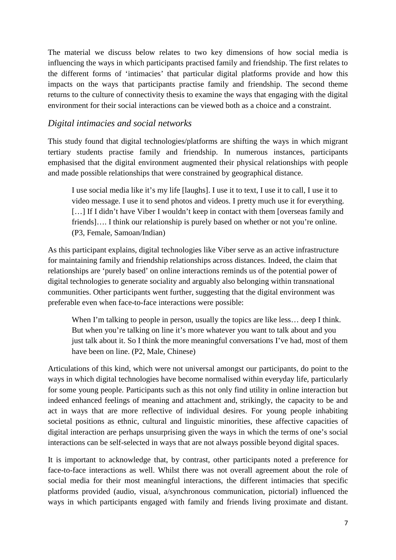The material we discuss below relates to two key dimensions of how social media is influencing the ways in which participants practised family and friendship. The first relates to the different forms of 'intimacies' that particular digital platforms provide and how this impacts on the ways that participants practise family and friendship. The second theme returns to the culture of connectivity thesis to examine the ways that engaging with the digital environment for their social interactions can be viewed both as a choice and a constraint.

#### *Digital intimacies and social networks*

This study found that digital technologies/platforms are shifting the ways in which migrant tertiary students practise family and friendship. In numerous instances, participants emphasised that the digital environment augmented their physical relationships with people and made possible relationships that were constrained by geographical distance.

I use social media like it's my life [laughs]. I use it to text, I use it to call, I use it to video message. I use it to send photos and videos. I pretty much use it for everything. [...] If I didn't have Viber I wouldn't keep in contact with them [overseas family and friends]…. I think our relationship is purely based on whether or not you're online. (P3, Female, Samoan/Indian)

As this participant explains, digital technologies like Viber serve as an active infrastructure for maintaining family and friendship relationships across distances. Indeed, the claim that relationships are 'purely based' on online interactions reminds us of the potential power of digital technologies to generate sociality and arguably also belonging within transnational communities. Other participants went further, suggesting that the digital environment was preferable even when face-to-face interactions were possible:

When I'm talking to people in person, usually the topics are like less... deep I think. But when you're talking on line it's more whatever you want to talk about and you just talk about it. So I think the more meaningful conversations I've had, most of them have been on line. (P2, Male, Chinese)

Articulations of this kind, which were not universal amongst our participants, do point to the ways in which digital technologies have become normalised within everyday life, particularly for some young people. Participants such as this not only find utility in online interaction but indeed enhanced feelings of meaning and attachment and, strikingly, the capacity to be and act in ways that are more reflective of individual desires. For young people inhabiting societal positions as ethnic, cultural and linguistic minorities, these affective capacities of digital interaction are perhaps unsurprising given the ways in which the terms of one's social interactions can be self-selected in ways that are not always possible beyond digital spaces.

It is important to acknowledge that, by contrast, other participants noted a preference for face-to-face interactions as well. Whilst there was not overall agreement about the role of social media for their most meaningful interactions, the different intimacies that specific platforms provided (audio, visual, a/synchronous communication, pictorial) influenced the ways in which participants engaged with family and friends living proximate and distant.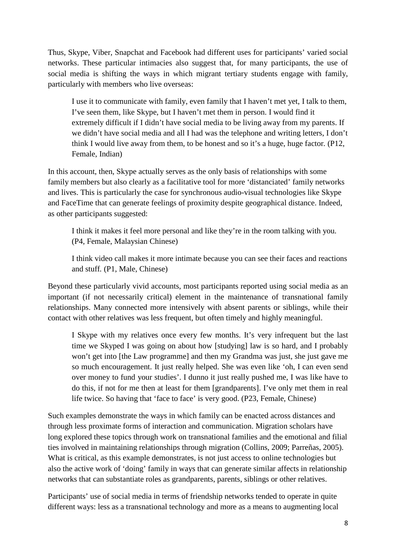Thus, Skype, Viber, Snapchat and Facebook had different uses for participants' varied social networks. These particular intimacies also suggest that, for many participants, the use of social media is shifting the ways in which migrant tertiary students engage with family, particularly with members who live overseas:

I use it to communicate with family, even family that I haven't met yet, I talk to them, I've seen them, like Skype, but I haven't met them in person. I would find it extremely difficult if I didn't have social media to be living away from my parents. If we didn't have social media and all I had was the telephone and writing letters, I don't think I would live away from them, to be honest and so it's a huge, huge factor*.* (P12, Female, Indian)

In this account, then, Skype actually serves as the only basis of relationships with some family members but also clearly as a facilitative tool for more 'distanciated' family networks and lives. This is particularly the case for synchronous audio-visual technologies like Skype and FaceTime that can generate feelings of proximity despite geographical distance. Indeed, as other participants suggested:

I think it makes it feel more personal and like they're in the room talking with you. (P4, Female, Malaysian Chinese)

I think video call makes it more intimate because you can see their faces and reactions and stuff*.* (P1, Male, Chinese)

Beyond these particularly vivid accounts, most participants reported using social media as an important (if not necessarily critical) element in the maintenance of transnational family relationships. Many connected more intensively with absent parents or siblings, while their contact with other relatives was less frequent, but often timely and highly meaningful.

I Skype with my relatives once every few months. It's very infrequent but the last time we Skyped I was going on about how [studying] law is so hard, and I probably won't get into [the Law programme] and then my Grandma was just, she just gave me so much encouragement. It just really helped. She was even like 'oh, I can even send over money to fund your studies'. I dunno it just really pushed me, I was like have to do this, if not for me then at least for them [grandparents]. I've only met them in real life twice. So having that 'face to face' is very good. (P23, Female, Chinese)

Such examples demonstrate the ways in which family can be enacted across distances and through less proximate forms of interaction and communication. Migration scholars have long explored these topics through work on transnational families and the emotional and filial ties involved in maintaining relationships through migration (Collins, 2009; Parreñas, 2005). What is critical, as this example demonstrates, is not just access to online technologies but also the active work of 'doing' family in ways that can generate similar affects in relationship networks that can substantiate roles as grandparents, parents, siblings or other relatives.

Participants' use of social media in terms of friendship networks tended to operate in quite different ways: less as a transnational technology and more as a means to augmenting local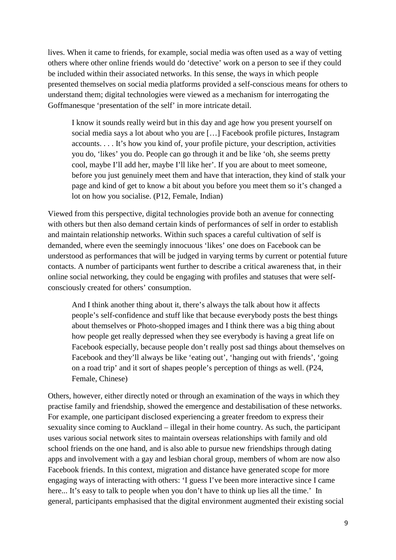lives. When it came to friends, for example, social media was often used as a way of vetting others where other online friends would do 'detective' work on a person to see if they could be included within their associated networks. In this sense, the ways in which people presented themselves on social media platforms provided a self-conscious means for others to understand them; digital technologies were viewed as a mechanism for interrogating the Goffmanesque 'presentation of the self' in more intricate detail.

I know it sounds really weird but in this day and age how you present yourself on social media says a lot about who you are […] Facebook profile pictures, Instagram accounts. . . . It's how you kind of, your profile picture, your description, activities you do, 'likes' you do. People can go through it and be like 'oh, she seems pretty cool, maybe I'll add her, maybe I'll like her'. If you are about to meet someone, before you just genuinely meet them and have that interaction, they kind of stalk your page and kind of get to know a bit about you before you meet them so it's changed a lot on how you socialise. (P12, Female, Indian)

Viewed from this perspective, digital technologies provide both an avenue for connecting with others but then also demand certain kinds of performances of self in order to establish and maintain relationship networks. Within such spaces a careful cultivation of self is demanded, where even the seemingly innocuous 'likes' one does on Facebook can be understood as performances that will be judged in varying terms by current or potential future contacts. A number of participants went further to describe a critical awareness that, in their online social networking, they could be engaging with profiles and statuses that were selfconsciously created for others' consumption.

And I think another thing about it, there's always the talk about how it affects people's self-confidence and stuff like that because everybody posts the best things about themselves or Photo-shopped images and I think there was a big thing about how people get really depressed when they see everybody is having a great life on Facebook especially, because people don't really post sad things about themselves on Facebook and they'll always be like 'eating out', 'hanging out with friends', 'going on a road trip' and it sort of shapes people's perception of things as well. (P24, Female, Chinese)

Others, however, either directly noted or through an examination of the ways in which they practise family and friendship, showed the emergence and destabilisation of these networks. For example, one participant disclosed experiencing a greater freedom to express their sexuality since coming to Auckland – illegal in their home country. As such, the participant uses various social network sites to maintain overseas relationships with family and old school friends on the one hand, and is also able to pursue new friendships through dating apps and involvement with a gay and lesbian choral group, members of whom are now also Facebook friends. In this context, migration and distance have generated scope for more engaging ways of interacting with others: 'I guess I've been more interactive since I came here... It's easy to talk to people when you don't have to think up lies all the time.' In general, participants emphasised that the digital environment augmented their existing social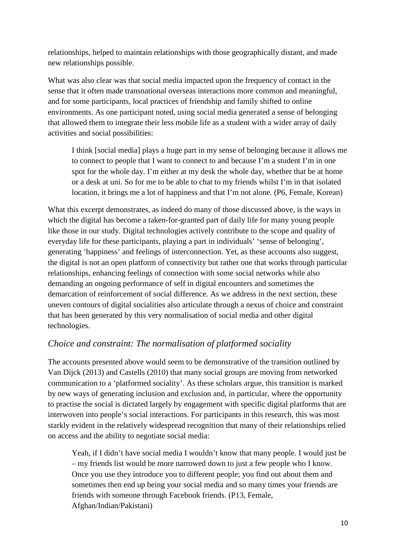relationships, helped to maintain relationships with those geographically distant, and made new relationships possible.

What was also clear was that social media impacted upon the frequency of contact in the sense that it often made transnational overseas interactions more common and meaningful, and for some participants, local practices of friendship and family shifted to online environments. As one participant noted, using social media generated a sense of belonging that allowed them to integrate their less mobile life as a student with a wider array of daily activities and social possibilities:

I think [social media] plays a huge part in my sense of belonging because it allows me to connect to people that I want to connect to and because I'm a student I'm in one spot for the whole day. I'm either at my desk the whole day, whether that be at home or a desk at uni. So for me to be able to chat to my friends whilst I'm in that isolated location, it brings me a lot of happiness and that I'm not alone*.* (P6, Female, Korean)

What this excerpt demonstrates, as indeed do many of those discussed above, is the ways in which the digital has become a taken-for-granted part of daily life for many young people like those in our study. Digital technologies actively contribute to the scope and quality of everyday life for these participants, playing a part in individuals' 'sense of belonging', generating 'happiness' and feelings of interconnection. Yet, as these accounts also suggest, the digital is not an open platform of connectivity but rather one that works through particular relationships, enhancing feelings of connection with some social networks while also demanding an ongoing performance of self in digital encounters and sometimes the demarcation of reinforcement of social difference. As we address in the next section, these uneven contours of digital socialities also articulate through a nexus of choice and constraint that has been generated by this very normalisation of social media and other digital technologies.

#### *Choice and constraint: The normalisation of platformed sociality*

The accounts presented above would seem to be demonstrative of the transition outlined by Van Dijck (2013) and Castells (2010) that many social groups are moving from networked communication to a 'platformed sociality'. As these scholars argue, this transition is marked by new ways of generating inclusion and exclusion and, in particular, where the opportunity to practise the social is dictated largely by engagement with specific digital platforms that are interwoven into people's social interactions. For participants in this research, this was most starkly evident in the relatively widespread recognition that many of their relationships relied on access and the ability to negotiate social media:

Yeah, if I didn't have social media I wouldn't know that many people. I would just be – my friends list would be more narrowed down to just a few people who I know. Once you use they introduce you to different people; you find out about them and sometimes then end up being your social media and so many times your friends are friends with someone through Facebook friends. (P13, Female, Afghan/Indian/Pakistani)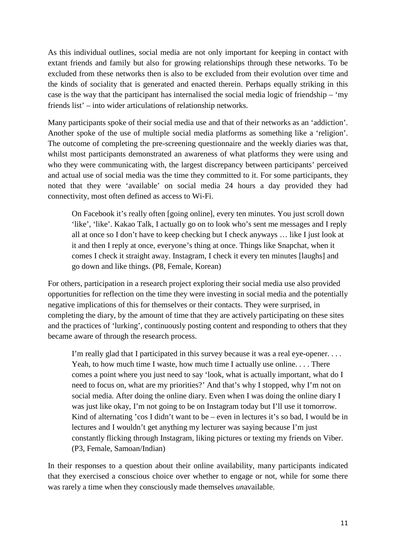As this individual outlines, social media are not only important for keeping in contact with extant friends and family but also for growing relationships through these networks. To be excluded from these networks then is also to be excluded from their evolution over time and the kinds of sociality that is generated and enacted therein. Perhaps equally striking in this case is the way that the participant has internalised the social media logic of friendship – 'my friends list' – into wider articulations of relationship networks.

Many participants spoke of their social media use and that of their networks as an 'addiction'. Another spoke of the use of multiple social media platforms as something like a 'religion'. The outcome of completing the pre-screening questionnaire and the weekly diaries was that, whilst most participants demonstrated an awareness of what platforms they were using and who they were communicating with, the largest discrepancy between participants' perceived and actual use of social media was the time they committed to it. For some participants, they noted that they were 'available' on social media 24 hours a day provided they had connectivity, most often defined as access to Wi-Fi.

On Facebook it's really often [going online], every ten minutes. You just scroll down 'like', 'like'. Kakao Talk, I actually go on to look who's sent me messages and I reply all at once so I don't have to keep checking but I check anyways … like I just look at it and then I reply at once, everyone's thing at once. Things like Snapchat, when it comes I check it straight away. Instagram, I check it every ten minutes [laughs] and go down and like things. (P8, Female, Korean)

For others, participation in a research project exploring their social media use also provided opportunities for reflection on the time they were investing in social media and the potentially negative implications of this for themselves or their contacts. They were surprised, in completing the diary, by the amount of time that they are actively participating on these sites and the practices of 'lurking', continuously posting content and responding to others that they became aware of through the research process.

I'm really glad that I participated in this survey because it was a real eye-opener. . . . Yeah, to how much time I waste, how much time I actually use online. . . . There comes a point where you just need to say 'look, what is actually important, what do I need to focus on, what are my priorities?' And that's why I stopped, why I'm not on social media. After doing the online diary. Even when I was doing the online diary I was just like okay, I'm not going to be on Instagram today but I'll use it tomorrow. Kind of alternating 'cos I didn't want to be – even in lectures it's so bad, I would be in lectures and I wouldn't get anything my lecturer was saying because I'm just constantly flicking through Instagram, liking pictures or texting my friends on Viber. (P3, Female, Samoan/Indian)

In their responses to a question about their online availability, many participants indicated that they exercised a conscious choice over whether to engage or not, while for some there was rarely a time when they consciously made themselves *un*available.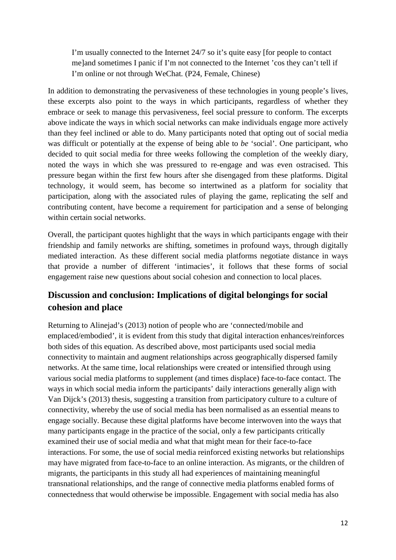I'm usually connected to the Internet 24/7 so it's quite easy [for people to contact me]and sometimes I panic if I'm not connected to the Internet 'cos they can't tell if I'm online or not through WeChat*.* (P24, Female, Chinese)

In addition to demonstrating the pervasiveness of these technologies in young people's lives, these excerpts also point to the ways in which participants, regardless of whether they embrace or seek to manage this pervasiveness, feel social pressure to conform. The excerpts above indicate the ways in which social networks can make individuals engage more actively than they feel inclined or able to do. Many participants noted that opting out of social media was difficult or potentially at the expense of being able to *be* 'social'. One participant, who decided to quit social media for three weeks following the completion of the weekly diary, noted the ways in which she was pressured to re-engage and was even ostracised. This pressure began within the first few hours after she disengaged from these platforms. Digital technology, it would seem, has become so intertwined as a platform for sociality that participation, along with the associated rules of playing the game, replicating the self and contributing content, have become a requirement for participation and a sense of belonging within certain social networks.

Overall, the participant quotes highlight that the ways in which participants engage with their friendship and family networks are shifting, sometimes in profound ways, through digitally mediated interaction. As these different social media platforms negotiate distance in ways that provide a number of different 'intimacies', it follows that these forms of social engagement raise new questions about social cohesion and connection to local places.

### **Discussion and conclusion: Implications of digital belongings for social cohesion and place**

Returning to Alinejad's (2013) notion of people who are 'connected/mobile and emplaced/embodied', it is evident from this study that digital interaction enhances/reinforces both sides of this equation. As described above, most participants used social media connectivity to maintain and augment relationships across geographically dispersed family networks. At the same time, local relationships were created or intensified through using various social media platforms to supplement (and times displace) face-to-face contact. The ways in which social media inform the participants' daily interactions generally align with Van Dijck's (2013) thesis, suggesting a transition from participatory culture to a culture of connectivity, whereby the use of social media has been normalised as an essential means to engage socially. Because these digital platforms have become interwoven into the ways that many participants engage in the practice of the social, only a few participants critically examined their use of social media and what that might mean for their face-to-face interactions. For some, the use of social media reinforced existing networks but relationships may have migrated from face-to-face to an online interaction. As migrants, or the children of migrants, the participants in this study all had experiences of maintaining meaningful transnational relationships, and the range of connective media platforms enabled forms of connectedness that would otherwise be impossible. Engagement with social media has also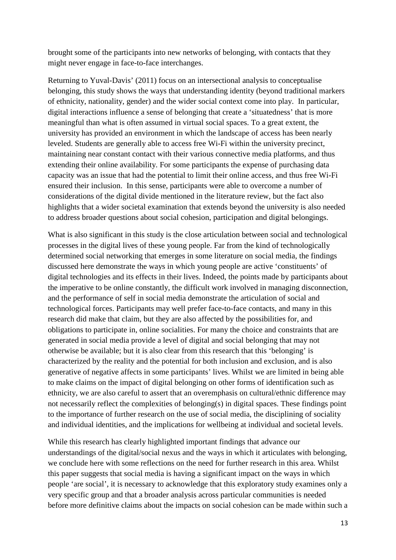brought some of the participants into new networks of belonging, with contacts that they might never engage in face-to-face interchanges.

Returning to Yuval-Davis' (2011) focus on an intersectional analysis to conceptualise belonging, this study shows the ways that understanding identity (beyond traditional markers of ethnicity, nationality, gender) and the wider social context come into play. In particular, digital interactions influence a sense of belonging that create a 'situatedness' that is more meaningful than what is often assumed in virtual social spaces. To a great extent, the university has provided an environment in which the landscape of access has been nearly leveled. Students are generally able to access free Wi-Fi within the university precinct, maintaining near constant contact with their various connective media platforms, and thus extending their online availability. For some participants the expense of purchasing data capacity was an issue that had the potential to limit their online access, and thus free Wi-Fi ensured their inclusion. In this sense, participants were able to overcome a number of considerations of the digital divide mentioned in the literature review, but the fact also highlights that a wider societal examination that extends beyond the university is also needed to address broader questions about social cohesion, participation and digital belongings.

What is also significant in this study is the close articulation between social and technological processes in the digital lives of these young people. Far from the kind of technologically determined social networking that emerges in some literature on social media, the findings discussed here demonstrate the ways in which young people are active 'constituents' of digital technologies and its effects in their lives. Indeed, the points made by participants about the imperative to be online constantly, the difficult work involved in managing disconnection, and the performance of self in social media demonstrate the articulation of social and technological forces. Participants may well prefer face-to-face contacts, and many in this research did make that claim, but they are also affected by the possibilities for, and obligations to participate in, online socialities. For many the choice and constraints that are generated in social media provide a level of digital and social belonging that may not otherwise be available; but it is also clear from this research that this 'belonging' is characterized by the reality and the potential for both inclusion and exclusion, and is also generative of negative affects in some participants' lives. Whilst we are limited in being able to make claims on the impact of digital belonging on other forms of identification such as ethnicity, we are also careful to assert that an overemphasis on cultural/ethnic difference may not necessarily reflect the complexities of belonging(s) in digital spaces. These findings point to the importance of further research on the use of social media, the disciplining of sociality and individual identities, and the implications for wellbeing at individual and societal levels.

While this research has clearly highlighted important findings that advance our understandings of the digital/social nexus and the ways in which it articulates with belonging, we conclude here with some reflections on the need for further research in this area. Whilst this paper suggests that social media is having a significant impact on the ways in which people 'are social', it is necessary to acknowledge that this exploratory study examines only a very specific group and that a broader analysis across particular communities is needed before more definitive claims about the impacts on social cohesion can be made within such a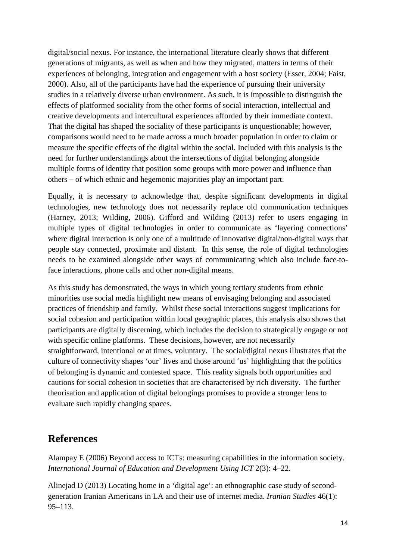digital/social nexus. For instance, the international literature clearly shows that different generations of migrants, as well as when and how they migrated, matters in terms of their experiences of belonging, integration and engagement with a host society (Esser, 2004; Faist, 2000). Also, all of the participants have had the experience of pursuing their university studies in a relatively diverse urban environment. As such, it is impossible to distinguish the effects of platformed sociality from the other forms of social interaction, intellectual and creative developments and intercultural experiences afforded by their immediate context. That the digital has shaped the sociality of these participants is unquestionable; however, comparisons would need to be made across a much broader population in order to claim or measure the specific effects of the digital within the social. Included with this analysis is the need for further understandings about the intersections of digital belonging alongside multiple forms of identity that position some groups with more power and influence than others – of which ethnic and hegemonic majorities play an important part.

Equally, it is necessary to acknowledge that, despite significant developments in digital technologies, new technology does not necessarily replace old communication techniques (Harney, 2013; Wilding, 2006). Gifford and Wilding (2013) refer to users engaging in multiple types of digital technologies in order to communicate as 'layering connections' where digital interaction is only one of a multitude of innovative digital/non-digital ways that people stay connected, proximate and distant. In this sense, the role of digital technologies needs to be examined alongside other ways of communicating which also include face-toface interactions, phone calls and other non-digital means.

As this study has demonstrated, the ways in which young tertiary students from ethnic minorities use social media highlight new means of envisaging belonging and associated practices of friendship and family. Whilst these social interactions suggest implications for social cohesion and participation within local geographic places, this analysis also shows that participants are digitally discerning, which includes the decision to strategically engage or not with specific online platforms. These decisions, however, are not necessarily straightforward, intentional or at times, voluntary. The social/digital nexus illustrates that the culture of connectivity shapes 'our' lives and those around 'us' highlighting that the politics of belonging is dynamic and contested space. This reality signals both opportunities and cautions for social cohesion in societies that are characterised by rich diversity. The further theorisation and application of digital belongings promises to provide a stronger lens to evaluate such rapidly changing spaces.

# **References**

Alampay E (2006) Beyond access to ICTs: measuring capabilities in the information society. *International Journal of Education and Development Using ICT* 2(3): 4–22.

Alinejad D (2013) Locating home in a 'digital age': an ethnographic case study of secondgeneration Iranian Americans in LA and their use of internet media. *Iranian Studies* 46(1): 95–113.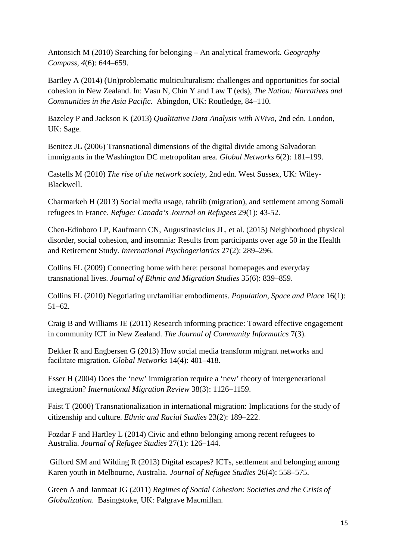Antonsich M (2010) Searching for belonging – An analytical framework. *Geography Compass, 4*(6): 644–659.

Bartley A (2014) (Un)problematic multiculturalism: challenges and opportunities for social cohesion in New Zealand. In: Vasu N, Chin Y and Law T (eds), *The Nation: Narratives and Communities in the Asia Pacific.* Abingdon, UK: Routledge, 84–110.

Bazeley P and Jackson K (2013) *Qualitative Data Analysis with NVivo,* 2nd edn. London, UK: Sage.

Benitez JL (2006) Transnational dimensions of the digital divide among Salvadoran immigrants in the Washington DC metropolitan area. *Global Networks* 6(2): 181–199.

Castells M (2010) *The rise of the network society,* 2nd edn. West Sussex, UK: Wiley-Blackwell.

Charmarkeh H (2013) Social media usage, tahriib (migration), and settlement among Somali refugees in France. *Refuge: Canada's Journal on Refugees* 29(1): 43-52.

Chen-Edinboro LP, Kaufmann CN, Augustinavicius JL, et al. (2015) Neighborhood physical disorder, social cohesion, and insomnia: Results from participants over age 50 in the Health and Retirement Study. *International Psychogeriatrics* 27(2): 289–296.

Collins FL (2009) Connecting home with here: personal homepages and everyday transnational lives. *Journal of Ethnic and Migration Studies* 35(6): 839–859.

Collins FL (2010) Negotiating un/familiar embodiments. *Population, Space and Place* 16(1): 51–62.

Craig B and Williams JE (2011) Research informing practice: Toward effective engagement in community ICT in New Zealand. *The Journal of Community Informatics* 7(3).

Dekker R and Engbersen G (2013) How social media transform migrant networks and facilitate migration. *Global Networks* 14(4): 401–418.

Esser H (2004) Does the 'new' immigration require a 'new' theory of intergenerational integration? *International Migration Review* 38(3): 1126–1159.

Faist T (2000) Transnationalization in international migration: Implications for the study of citizenship and culture. *Ethnic and Racial Studies* 23(2): 189–222.

Fozdar F and Hartley L (2014) Civic and ethno belonging among recent refugees to Australia. *Journal of Refugee Studies* 27(1): 126–144.

Gifford SM and Wilding R (2013) Digital escapes? ICTs, settlement and belonging among Karen youth in Melbourne, Australia. *Journal of Refugee Studies* 26(4): 558–575.

Green A and Janmaat JG (2011) *Regimes of Social Cohesion: Societies and the Crisis of Globalization*. Basingstoke, UK: Palgrave Macmillan.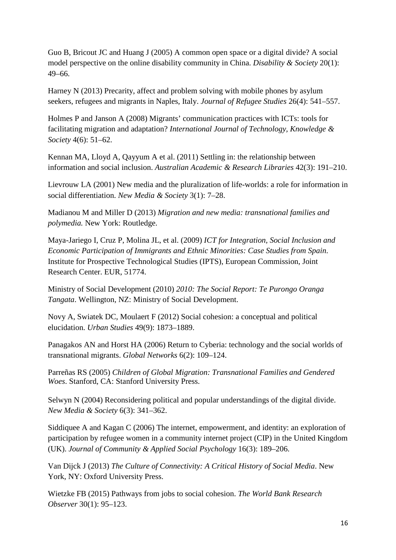Guo B, Bricout JC and Huang J (2005) A common open space or a digital divide? A social model perspective on the online disability community in China. *Disability & Society* 20(1): 49–66.

Harney N (2013) Precarity, affect and problem solving with mobile phones by asylum seekers, refugees and migrants in Naples, Italy. *Journal of Refugee Studies* 26(4): 541–557.

Holmes P and Janson A (2008) Migrants' communication practices with ICTs: tools for facilitating migration and adaptation? *International Journal of Technology, Knowledge & Society* 4(6): 51–62.

Kennan MA, Lloyd A, Qayyum A et al. (2011) Settling in: the relationship between information and social inclusion. *Australian Academic & Research Libraries* 42(3): 191–210.

Lievrouw LA (2001) New media and the pluralization of life-worlds: a role for information in social differentiation. *New Media & Society* 3(1): 7–28.

Madianou M and Miller D (2013) *Migration and new media: transnational families and polymedia.* New York: Routledge.

Maya-Jariego I, Cruz P, Molina JL, et al. (2009) *ICT for Integration, Social Inclusion and Economic Participation of Immigrants and Ethnic Minorities: Case Studies from Spain*. Institute for Prospective Technological Studies (IPTS), European Commission, Joint Research Center. EUR, 51774.

Ministry of Social Development (2010) *2010: The Social Report: Te Purongo Oranga Tangata*. Wellington, NZ: Ministry of Social Development.

Novy A, Swiatek DC, Moulaert F (2012) Social cohesion: a conceptual and political elucidation. *Urban Studies* 49(9): 1873–1889.

Panagakos AN and Horst HA (2006) Return to Cyberia: technology and the social worlds of transnational migrants. *Global Networks* 6(2): 109–124.

Parreñas RS (2005) *Children of Global Migration: Transnational Families and Gendered Woes*. Stanford, CA: Stanford University Press.

Selwyn N (2004) Reconsidering political and popular understandings of the digital divide. *New Media & Society* 6(3): 341–362.

Siddiquee A and Kagan C (2006) The internet, empowerment, and identity: an exploration of participation by refugee women in a community internet project (CIP) in the United Kingdom (UK). *Journal of Community & Applied Social Psychology* 16(3): 189–206.

Van Dijck J (2013) *The Culture of Connectivity: A Critical History of Social Media*. New York, NY: Oxford University Press.

Wietzke FB (2015) Pathways from jobs to social cohesion. *The World Bank Research Observer* 30(1): 95–123.